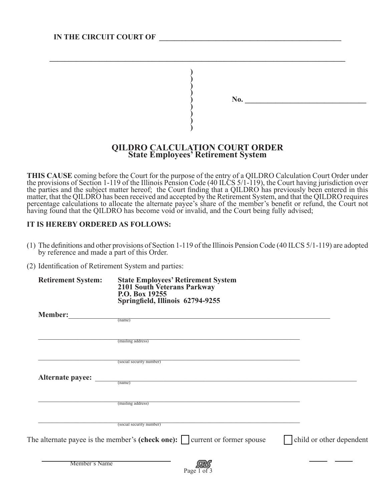| No. |  |  |
|-----|--|--|
|     |  |  |
|     |  |  |
|     |  |  |
|     |  |  |
|     |  |  |
|     |  |  |
|     |  |  |
|     |  |  |

## **QILDRO CALCULATION COURT ORDER State Employees' Retirement System**

 $\mathcal{L}_\mathcal{L} = \mathcal{L}_\mathcal{L} = \mathcal{L}_\mathcal{L} = \mathcal{L}_\mathcal{L} = \mathcal{L}_\mathcal{L} = \mathcal{L}_\mathcal{L} = \mathcal{L}_\mathcal{L} = \mathcal{L}_\mathcal{L} = \mathcal{L}_\mathcal{L} = \mathcal{L}_\mathcal{L} = \mathcal{L}_\mathcal{L} = \mathcal{L}_\mathcal{L} = \mathcal{L}_\mathcal{L} = \mathcal{L}_\mathcal{L} = \mathcal{L}_\mathcal{L} = \mathcal{L}_\mathcal{L} = \mathcal{L}_\mathcal{L}$ **)**

**THIS CAUSE** coming before the Court for the purpose of the entry of a QILDRO Calculation Court Order under the provisions of Section 1-119 of the Illinois Pension Code (40 ILCS 5/1-119), the Court having jurisdiction over the parties and the subject matter hereof; the Court finding that a QILDRO has previously been entered in this matter, that the QILDRO has been received and accepted by the Retirement System, and that the QILDRO requires percentage calculations to allocate the alternate payee's share of the member's benefit or refund, the Court not having found that the QILDRO has become void or invalid, and the Court being fully advised;

## **IT IS HEREBY ORDERED AS FOLLOWS:**

- (1) The definitions and other provisions of Section 1-119 of the Illinois Pension Code (40 ILCS 5/1-119) are adopted by reference and made a part of this Order.
- (2) Identification of Retirement System and parties:

| <b>Retirement System:</b> | <b>State Employees' Retirement System</b><br>2101 South Veterans Parkway<br>P.O. Box 19255<br>Springfield, Illinois 62794-9255 |                          |
|---------------------------|--------------------------------------------------------------------------------------------------------------------------------|--------------------------|
| <b>Member:</b>            |                                                                                                                                |                          |
|                           | $\frac{1}{\text{(name)}}$                                                                                                      |                          |
|                           | (mailing address)                                                                                                              |                          |
|                           | (social security number)                                                                                                       |                          |
| <b>Alternate payee:</b>   | (name)                                                                                                                         |                          |
|                           | (mailing address)                                                                                                              |                          |
|                           | (social security number)                                                                                                       |                          |
|                           | The alternate payee is the member's (check one): $\vert$ current or former spouse                                              | child or other dependent |
| Member's Name             | Page 1 of 3                                                                                                                    |                          |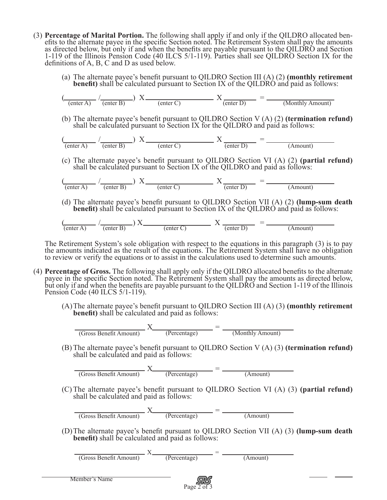- (3) **Percentage of Marital Portion.** The following shall apply if and only if the QILDRO allocated ben- efits to the alternate payee in the specific Section noted. The Retirement System shall pay the amounts as directed below, but only if and when the benefits are payable pursuant to the QILDRO and Section 1-119 of the Illinois Pension Code (40 ILCS 5/1-119). Parties shall see QILDRO Section IX for the definitions of A, B, C and D as used below.
	- (a) The alternate payee's benefit pursuant to QILDRO Section III (A) (2) **(monthly retirement benefit)** shall be calculated pursuant to Section IX of the QILDRO and paid as follows:

$$
\left(\frac{\text{center A}}{\text{(enter A)}} \cdot \frac{1}{\text{(enter B)}}\right) X \underbrace{\text{(enter C)}}_{\text{(enter D)}} = \underbrace{\text{K}}_{\text{(Monthly Amount)}}
$$

(b) The alternate payee's benefit pursuant to QILDRO Section V (A) (2) **(termination refund)** shall be calculated pursuant to Section IX for the QILDRO and paid as follows:

$$
\left(\frac{1}{\text{(enter A)}} \cdot \frac{1}{\text{(enter B)}}\right) X \underbrace{\hspace{1cm}}_{\text{(enter C)}} X \underbrace{\hspace{1cm}}_{\text{(enter D)}} = \underbrace{\hspace{1cm}}_{\text{(Amount)}
$$

(c) The alternate payee's benefit pursuant to QILDRO Section VI (A) (2) **(partial refund)** shall be calculated pursuant to Section IX of the QILDRO and paid as follows:

$$
\left(\frac{1}{\text{(enter A)}} - \frac{1}{\text{(enter B)}}\right) X \underbrace{\qquad \qquad}_{\text{(enter C)}} X \underbrace{\qquad \qquad}_{\text{(enter D)}} = \underbrace{\qquad \qquad}_{\text{(Amount)}}
$$

(d) The alternate payee's benefit pursuant to QILDRO Section VII (A) (2) **(lump-sum death benefit)** shall be calculated pursuant to Section IX of the QILDRO and paid as follows:

$$
\left(\frac{\text{center A}}{\text{(enter A)}}\middle|X\right) = \frac{\text{inter B}}{\text{(enter C)}} \quad \text{X} \quad \frac{\text{inter D}}{\text{(enter D)}} = \frac{\text{inter D}}{\text{(Amount)}}
$$

The Retirement System's sole obligation with respect to the equations in this paragraph (3) is to pay the amounts indicated as the result of the equations. The Retirement System shall have no obligation to review or verify the equations or to assist in the calculations used to determine such amounts.

- (4) **Percentage of Gross.** The following shall apply only if the QILDRO allocated benefits to the alternate payee in the specific Section noted. The Retirement System shall pay the amounts as directed below, but only if and when the benefits are payable pursuant to the QILDRO and Section 1-119 of the Illinois Pension Code (40 ILCS 5/1-119).
	- (A)The alternate payee's benefit pursuant to QILDRO Section III (A) (3) **(monthly retirement benefit)** shall be calculated and paid as follows:

 $X$  = (Gross Benefit Amount) (Percentage) (Monthly Amount)

> (B) The alternate payee's benefit pursuant to QILDRO Section V (A) (3) **(termination refund)** shall be calculated and paid as follows:

$$
\frac{X}{\text{(Gross Benefit Amount)}} \quad X \qquad \text{(Percentage)} \qquad \qquad \text{(Amount)}
$$

(C) The alternate payee's benefit pursuant to QILDRO Section VI (A) (3) **(partial refund)** shall be calculated and paid as follows:

 $\frac{X}{(Gross Benefit Amount)}$   $\frac{X}{(Percentage)}$  =  $\frac{1}{(Amount)}$ 

(D)The alternate payee's benefit pursuant to QILDRO Section VII (A) (3) **(lump-sum death benefit)** shall be calculated and paid as follows:

 $X_{\bullet} = \bullet$ (Gross Benefit Amount) (Percentage) (Amount)